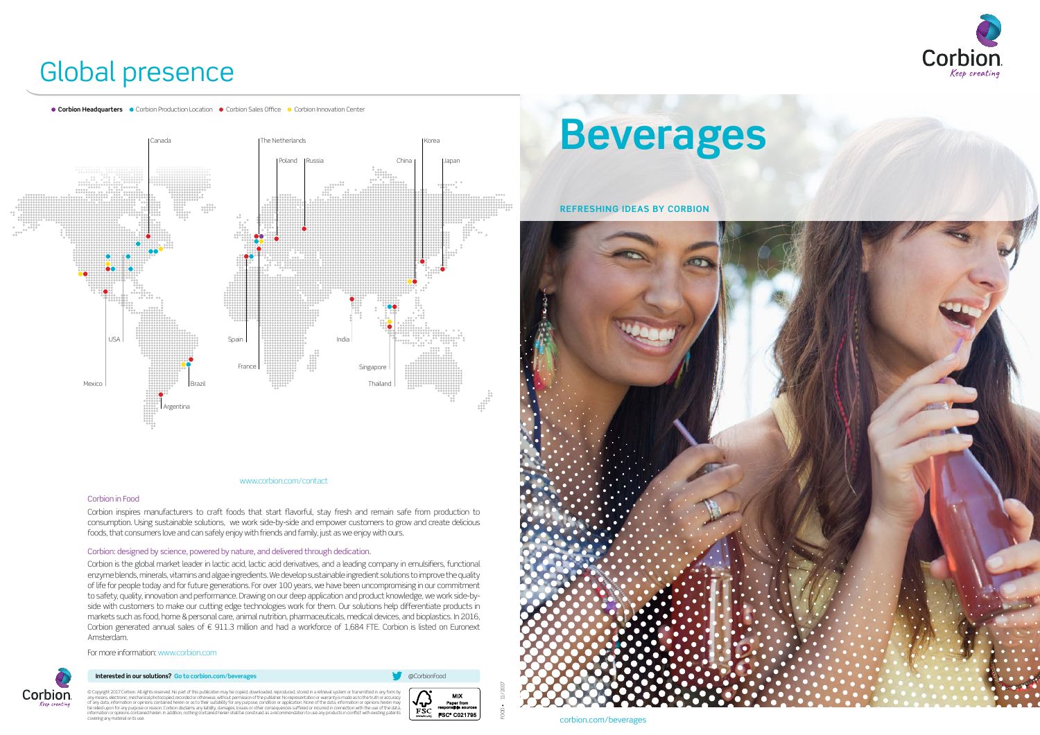## Global presence

**Corbion Headquarters C** Corbion Production Location Corbion Sales Office Corbion Innovation Center

#### www.corbion.com/contact

### Corbion in Food

Corbion inspires manufacturers to craft foods that start flavorful, stay fresh and remain safe from production to consumption. Using sustainable solutions, we work side-by-side and empower customers to grow and create delicious foods, that consumers love and can safely enjoy with friends and family, just as we enjoy with ours.

#### Corbion: designed by science, powered by nature, and delivered through dedication.

Corbion is the global market leader in lactic acid, lactic acid derivatives, and a leading company in emulsifiers, functional enzyme blends, minerals, vitamins and algae ingredients. We develop sustainable ingredient solutions to improve the quality of life for people today and for future generations. For over 100 years, we have been uncompromising in our commitment to safety, quality, innovation and performance. Drawing on our deep application and product knowledge, we work side-byside with customers to make our cutting edge technologies work for them. Our solutions help differentiate products in markets such as food, home & personal care, animal nutrition, pharmaceuticals, medical devices, and bioplastics. In 2016, Corbion generated annual sales of € 911.3 million and had a workforce of 1,684 FTE. Corbion is listed on Euronext Amsterdam.

© Copyright 2017 Corbion. All rights reserved. No part of this publication may be copied, downloaded, reproduced, stored in a retrieval system or transmitted in any form by<br>any means, electronic, mechanical photocopied, re © Copyright 2017 Corbion.



For more information: www.corbion.com



#### **Interested in our solutions?** Go to corbion.com/beverages **and a structure of the corbionFood** and a structure of the corbionFood







FOOD • 11/2017